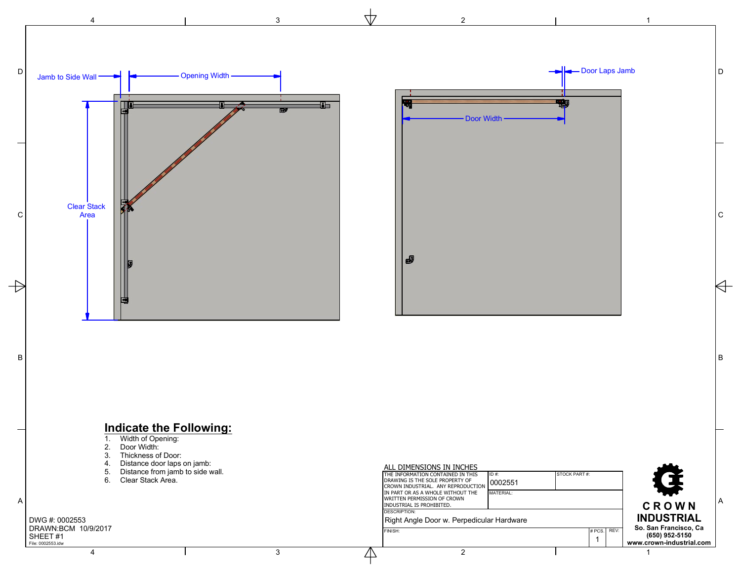